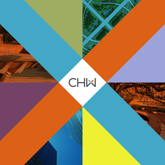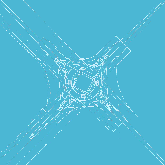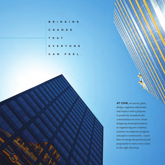|         | <b>BRINGING</b> |  |     |  |  |
|---------|-----------------|--|-----|--|--|
|         | C H A N G       |  | - E |  |  |
| T H A T |                 |  |     |  |  |
|         | E V E R Y O N E |  |     |  |  |
|         | CAN FEEL        |  |     |  |  |



**AT CHW,** we survey, plan, design, engineer, administer and inspect with a purpose: to positively transform the communities we serve. From designing municipal projects to engineering new roadway systems, we empower progress, concept to construction. Learn how we merge the practical and purposeful to move every client in the right direction.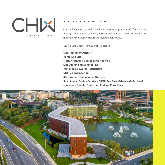![](_page_3_Picture_0.jpeg)

## **ENGINEERING**

Our civil engineering professionals ensure your project proceeds from planning through construction seamlessly. CHW's dedicated staff exercises detailed and innovative solutions to ensure the highest quality work.

*CHW's Civil Engineering team specializes in:*

**Site Feasibility Analysis Value Analysis Master Planning Engineering Analysis Site Design and Engineering Water and Sewer Infrastructure Utilities Engineering Stormwater Management Systems Sustainable Design Services** *(LEED, Low Impact Design, ISI Envision)* **Municipal, County, State, and Federal Permitting**

![](_page_3_Picture_5.jpeg)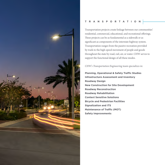![](_page_4_Picture_0.jpeg)

## **TRANSPORTATION**

Transportation projects create linkage between our communities' residential, commercial, educational, and recreational offerings. These projects can be as fundamental as a sidewalk or as significant as components of the interstate highway system. Transportation ranges from the passive recreation provided by trails to the high-speed movement of people and goods throughout the state by road, rail, air, or water. CHW serves to support the functional design of all these modes.

## *CHW's Transportation Engineering team specializes in:*

**Planning, Operational & Safety Traffic Studies Infrastructure Assessment and Inventory Roadway Design New Construction for Site Development Roadway Reconstruction Roadway Rehabilitation Context Sensitive Solutions Bicycle and Pedestrian Facilities Signalization and ITS Maintenance of Traffic (MOT) Safety Improvements**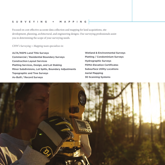### **SURVEYING + MAPPING**

Focused on cost-effective accurate data collection and mapping for land acquisitions, site development, planning, architectural, and engineering designs. Our surveying professionals assist you in determining the scope of your surveying needs.

*CHW's Surveying + Mapping team specializes in:*

**ALTA/NSPS Land Title Surveys Commercial / Residential Boundary Surveys Construction Layout Services Platting Services, Design, and Lot Staking Minor Subdivisions, Lot Splits, Boundary Adjustments Topographic and Tree Surveys As-Built / Record Surveys**

**Wetland & Environmental Surveys Platting / Condominium Surveys Hydrographic Surveys FEMA Elevation Certificates Subsurface Utility Locations Aerial Mapping 3D Scanning Systems**

![](_page_5_Picture_5.jpeg)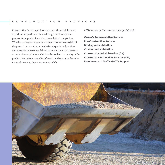Construction Services professionals have the capability and experience to guide our clients through the development process, from project inception through final completion. Whether acting as an agency representative with oversight of the project, or providing a single tier of specialized services, our energy is centered on delivering an outcome that meets or exceeds client aspirations. CHW is focused on the quality of the product. We tailor to our clients' needs, and optimize the value invested in seeing their vision come to life.

#### *CHW's Construction Services team specializes in:*

**Owner's Representative Services Pre-Construction Services Bidding Administration Contract Administration Construction Administration (CA) Construction Inspection Services (CEI) Maintenance of Traffic (MOT) Support**

![](_page_6_Picture_4.jpeg)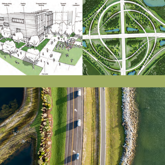![](_page_7_Figure_0.jpeg)

![](_page_7_Picture_1.jpeg)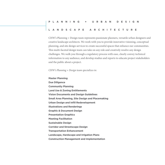CHW's Planning + Design team represents passionate planners, versatile urban designers and creative landscape architects. We work with you to provide innovative visioning, conceptual planning, and site design services to create successful spaces that enhance our communities. This multi-faceted design team can take on any role and creatively resolve any design challenges. We walk you through a regulatory process with ease, clearly convey technical information to any audience, and develop studies and reports to educate project stakeholders and the public about a project.

*CHW's Planning + Design team specializes in:*

**Master Planning Due Diligence Community Planning Land Use & Zoning Entitlements Vision Documents and Design Guidelines Small Area Planning, Site Design and Placemaking Urban Design and Infill Redevelopment Illustrations and Renderings Graphic & Document Design Presentation Graphics Meeting Facilitation Sustainable Design Corridor and Streetscape Design Transportation Enhancement Landscape, Hardscape and Irrigation Plans Construction Management and Implementation**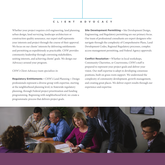#### **CLIENT ADVOCACY**

Whether your project requires civil engineering, land planning, urban design, land surveying, landscape architecture or construction quality assurance, our expert staff represents your interests and project through the course of their approval. We focus on our clients' interests by delivering entitlements and permitting as expeditiously as practicable. CHW provides community leadership through convening stakeholders, uniting interests, and achieving clients' goals. We design our Advocacy around your program.

#### *CHW's Client Advocacy team specializes in:*

**Regulatory Entitlements –** CHW's Land Planning + Design professionals represent a diverse group with expertise, starting at the neighborhood planning level, to Statewide regulatory planning, through Federal project prioritization and funding programming. Beginning with neighborhood level, we create a programmatic process that delivers project goals.

**Site Development Permitting –** Site Development Design, Engineering, and Regulatory permitting are our primary focus. Our team of professional consultants are expert designers who navigate through the complexity of Comprehensive Plans, Land Development Codes, Regional Regulatory processes, complex access management permitting, and Federal Agency approvals.

**Conflict Resolution –** Whether in local workshops, Community Charrettes, or Courtrooms, CHW's staff is prepared to represent your project goals and deliver your vision. Our staff expertise is adept in developing consensus positions, built on grass-roots support. We understand the complexity of community development, growth management, and creating great places. We deliver expert results through our experience and expertise.

![](_page_9_Picture_6.jpeg)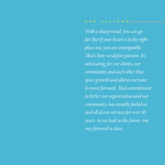# **OUR CULTURE**

*With a sharp mind, you can go far. But if your heart is in the right place too, you are unstoppable. That's how we define passion. It's advocating for our clients, our community and each other that spurs growth and allows everyone to move forward. That commitment to better our organization and our community, has steadily fueled us and all of our services for over 30 years. As we look to the future, our way forward is clear.*